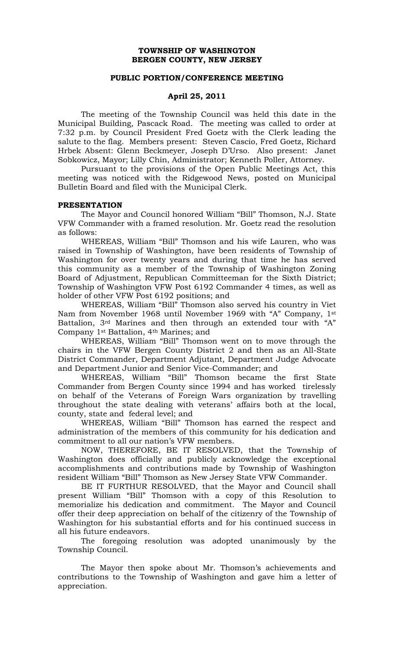## **TOWNSHIP OF WASHINGTON BERGEN COUNTY, NEW JERSEY**

## **PUBLIC PORTION/CONFERENCE MEETING**

## **April 25, 2011**

The meeting of the Township Council was held this date in the Municipal Building, Pascack Road. The meeting was called to order at 7:32 p.m. by Council President Fred Goetz with the Clerk leading the salute to the flag. Members present: Steven Cascio, Fred Goetz, Richard Hrbek Absent: Glenn Beckmeyer, Joseph D'Urso. Also present: Janet Sobkowicz, Mayor; Lilly Chin, Administrator; Kenneth Poller, Attorney.

Pursuant to the provisions of the Open Public Meetings Act, this meeting was noticed with the Ridgewood News, posted on Municipal Bulletin Board and filed with the Municipal Clerk.

#### **PRESENTATION**

The Mayor and Council honored William "Bill" Thomson, N.J. State VFW Commander with a framed resolution. Mr. Goetz read the resolution as follows:

WHEREAS, William "Bill" Thomson and his wife Lauren, who was raised in Township of Washington, have been residents of Township of Washington for over twenty years and during that time he has served this community as a member of the Township of Washington Zoning Board of Adjustment, Republican Committeeman for the Sixth District; Township of Washington VFW Post 6192 Commander 4 times, as well as holder of other VFW Post 6192 positions; and

WHEREAS, William "Bill" Thomson also served his country in Viet Nam from November 1968 until November 1969 with "A" Company, 1st Battalion, 3rd Marines and then through an extended tour with "A" Company 1st Battalion, 4th Marines; and

WHEREAS, William "Bill" Thomson went on to move through the chairs in the VFW Bergen County District 2 and then as an All-State District Commander, Department Adjutant, Department Judge Advocate and Department Junior and Senior Vice-Commander; and

WHEREAS, William "Bill" Thomson became the first State Commander from Bergen County since 1994 and has worked tirelessly on behalf of the Veterans of Foreign Wars organization by travelling throughout the state dealing with veterans' affairs both at the local, county, state and federal level; and

WHEREAS, William "Bill" Thomson has earned the respect and administration of the members of this community for his dedication and commitment to all our nation's VFW members.

NOW, THEREFORE, BE IT RESOLVED, that the Township of Washington does officially and publicly acknowledge the exceptional accomplishments and contributions made by Township of Washington resident William "Bill" Thomson as New Jersey State VFW Commander.

BE IT FURTHUR RESOLVED, that the Mayor and Council shall present William "Bill" Thomson with a copy of this Resolution to memorialize his dedication and commitment. The Mayor and Council offer their deep appreciation on behalf of the citizenry of the Township of Washington for his substantial efforts and for his continued success in all his future endeavors.

The foregoing resolution was adopted unanimously by the Township Council.

The Mayor then spoke about Mr. Thomson's achievements and contributions to the Township of Washington and gave him a letter of appreciation.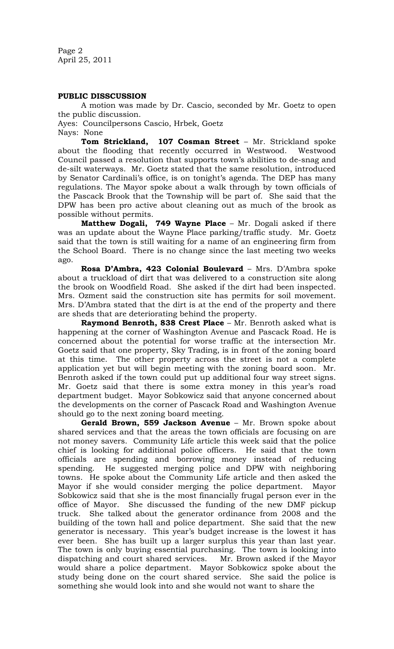Page 2 April 25, 2011

## **PUBLIC DISSCUSSION**

A motion was made by Dr. Cascio, seconded by Mr. Goetz to open the public discussion.

Ayes: Councilpersons Cascio, Hrbek, Goetz Nays: None

**Tom Strickland, 107 Cosman Street** – Mr. Strickland spoke about the flooding that recently occurred in Westwood. Westwood Council passed a resolution that supports town's abilities to de-snag and de-silt waterways. Mr. Goetz stated that the same resolution, introduced by Senator Cardinali's office, is on tonight's agenda. The DEP has many regulations. The Mayor spoke about a walk through by town officials of the Pascack Brook that the Township will be part of. She said that the DPW has been pro active about cleaning out as much of the brook as possible without permits.

**Matthew Dogali, 749 Wayne Place** – Mr. Dogali asked if there was an update about the Wayne Place parking/traffic study. Mr. Goetz said that the town is still waiting for a name of an engineering firm from the School Board. There is no change since the last meeting two weeks ago.

**Rosa D'Ambra, 423 Colonial Boulevard** – Mrs. D'Ambra spoke about a truckload of dirt that was delivered to a construction site along the brook on Woodfield Road. She asked if the dirt had been inspected. Mrs. Ozment said the construction site has permits for soil movement. Mrs. D'Ambra stated that the dirt is at the end of the property and there are sheds that are deteriorating behind the property.

**Raymond Benroth, 838 Crest Place** – Mr. Benroth asked what is happening at the corner of Washington Avenue and Pascack Road. He is concerned about the potential for worse traffic at the intersection Mr. Goetz said that one property, Sky Trading, is in front of the zoning board at this time. The other property across the street is not a complete application yet but will begin meeting with the zoning board soon. Mr. Benroth asked if the town could put up additional four way street signs. Mr. Goetz said that there is some extra money in this year's road department budget. Mayor Sobkowicz said that anyone concerned about the developments on the corner of Pascack Road and Washington Avenue should go to the next zoning board meeting.

**Gerald Brown, 559 Jackson Avenue** – Mr. Brown spoke about shared services and that the areas the town officials are focusing on are not money savers. Community Life article this week said that the police chief is looking for additional police officers. He said that the town officials are spending and borrowing money instead of reducing spending. He suggested merging police and DPW with neighboring towns. He spoke about the Community Life article and then asked the Mayor if she would consider merging the police department. Mayor Sobkowicz said that she is the most financially frugal person ever in the office of Mayor. She discussed the funding of the new DMF pickup truck. She talked about the generator ordinance from 2008 and the building of the town hall and police department. She said that the new generator is necessary. This year's budget increase is the lowest it has ever been. She has built up a larger surplus this year than last year. The town is only buying essential purchasing. The town is looking into dispatching and court shared services. Mr. Brown asked if the Mayor would share a police department. Mayor Sobkowicz spoke about the study being done on the court shared service. She said the police is something she would look into and she would not want to share the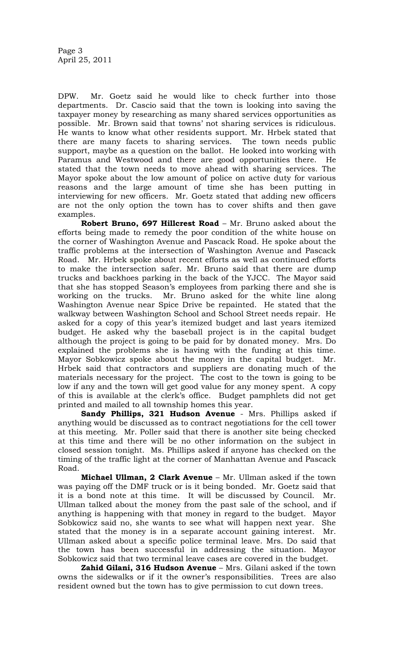DPW. Mr. Goetz said he would like to check further into those departments. Dr. Cascio said that the town is looking into saving the taxpayer money by researching as many shared services opportunities as possible. Mr. Brown said that towns' not sharing services is ridiculous. He wants to know what other residents support. Mr. Hrbek stated that there are many facets to sharing services. The town needs public support, maybe as a question on the ballot. He looked into working with Paramus and Westwood and there are good opportunities there. He stated that the town needs to move ahead with sharing services. The Mayor spoke about the low amount of police on active duty for various reasons and the large amount of time she has been putting in interviewing for new officers. Mr. Goetz stated that adding new officers are not the only option the town has to cover shifts and then gave examples.

**Robert Bruno, 697 Hillcrest Road** – Mr. Bruno asked about the efforts being made to remedy the poor condition of the white house on the corner of Washington Avenue and Pascack Road. He spoke about the traffic problems at the intersection of Washington Avenue and Pascack Road. Mr. Hrbek spoke about recent efforts as well as continued efforts to make the intersection safer. Mr. Bruno said that there are dump trucks and backhoes parking in the back of the YJCC. The Mayor said that she has stopped Season's employees from parking there and she is working on the trucks. Mr. Bruno asked for the white line along Washington Avenue near Spice Drive be repainted. He stated that the walkway between Washington School and School Street needs repair. He asked for a copy of this year's itemized budget and last years itemized budget. He asked why the baseball project is in the capital budget although the project is going to be paid for by donated money. Mrs. Do explained the problems she is having with the funding at this time. Mayor Sobkowicz spoke about the money in the capital budget. Mr. Hrbek said that contractors and suppliers are donating much of the materials necessary for the project. The cost to the town is going to be low if any and the town will get good value for any money spent. A copy of this is available at the clerk's office. Budget pamphlets did not get printed and mailed to all township homes this year.

**Sandy Phillips, 321 Hudson Avenue** - Mrs. Phillips asked if anything would be discussed as to contract negotiations for the cell tower at this meeting. Mr. Poller said that there is another site being checked at this time and there will be no other information on the subject in closed session tonight. Ms. Phillips asked if anyone has checked on the timing of the traffic light at the corner of Manhattan Avenue and Pascack Road.

**Michael Ullman, 2 Clark Avenue** – Mr. Ullman asked if the town was paying off the DMF truck or is it being bonded. Mr. Goetz said that it is a bond note at this time. It will be discussed by Council. Mr. Ullman talked about the money from the past sale of the school, and if anything is happening with that money in regard to the budget. Mayor Sobkowicz said no, she wants to see what will happen next year. She stated that the money is in a separate account gaining interest. Mr. Ullman asked about a specific police terminal leave. Mrs. Do said that the town has been successful in addressing the situation. Mayor Sobkowicz said that two terminal leave cases are covered in the budget.

**Zahid Gilani, 316 Hudson Avenue** – Mrs. Gilani asked if the town owns the sidewalks or if it the owner's responsibilities. Trees are also resident owned but the town has to give permission to cut down trees.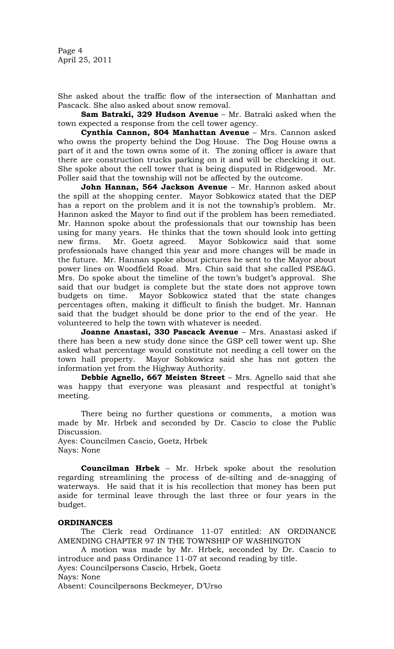Page 4 April 25, 2011

She asked about the traffic flow of the intersection of Manhattan and Pascack. She also asked about snow removal.

**Sam Batraki, 329 Hudson Avenue** – Mr. Batraki asked when the town expected a response from the cell tower agency.

**Cynthia Cannon, 804 Manhattan Avenue** – Mrs. Cannon asked who owns the property behind the Dog House. The Dog House owns a part of it and the town owns some of it. The zoning officer is aware that there are construction trucks parking on it and will be checking it out. She spoke about the cell tower that is being disputed in Ridgewood. Mr. Poller said that the township will not be affected by the outcome.

**John Hannan, 564 Jackson Avenue** – Mr. Hannon asked about the spill at the shopping center. Mayor Sobkowicz stated that the DEP has a report on the problem and it is not the township's problem. Mr. Hannon asked the Mayor to find out if the problem has been remediated. Mr. Hannon spoke about the professionals that our township has been using for many years. He thinks that the town should look into getting new firms. Mr. Goetz agreed. Mayor Sobkowicz said that some professionals have changed this year and more changes will be made in the future. Mr. Hannan spoke about pictures he sent to the Mayor about power lines on Woodfield Road. Mrs. Chin said that she called PSE&G. Mrs. Do spoke about the timeline of the town's budget's approval. She said that our budget is complete but the state does not approve town budgets on time. Mayor Sobkowicz stated that the state changes percentages often, making it difficult to finish the budget. Mr. Hannan said that the budget should be done prior to the end of the year. He volunteered to help the town with whatever is needed.

**Joanne Anastasi, 330 Pascack Avenue** – Mrs. Anastasi asked if there has been a new study done since the GSP cell tower went up. She asked what percentage would constitute not needing a cell tower on the town hall property. Mayor Sobkowicz said she has not gotten the Mayor Sobkowicz said she has not gotten the information yet from the Highway Authority.

**Debbie Agnello, 667 Meisten Street** – Mrs. Agnello said that she was happy that everyone was pleasant and respectful at tonight's meeting.

There being no further questions or comments, a motion was made by Mr. Hrbek and seconded by Dr. Cascio to close the Public Discussion.

Ayes: Councilmen Cascio, Goetz, Hrbek Nays: None

**Councilman Hrbek** – Mr. Hrbek spoke about the resolution regarding streamlining the process of de-silting and de-snagging of waterways. He said that it is his recollection that money has been put aside for terminal leave through the last three or four years in the budget.

# **ORDINANCES**

The Clerk read Ordinance 11-07 entitled: AN ORDINANCE AMENDING CHAPTER 97 IN THE TOWNSHIP OF WASHINGTON

A motion was made by Mr. Hrbek, seconded by Dr. Cascio to introduce and pass Ordinance 11-07 at second reading by title.

Ayes: Councilpersons Cascio, Hrbek, Goetz

Nays: None

Absent: Councilpersons Beckmeyer, D'Urso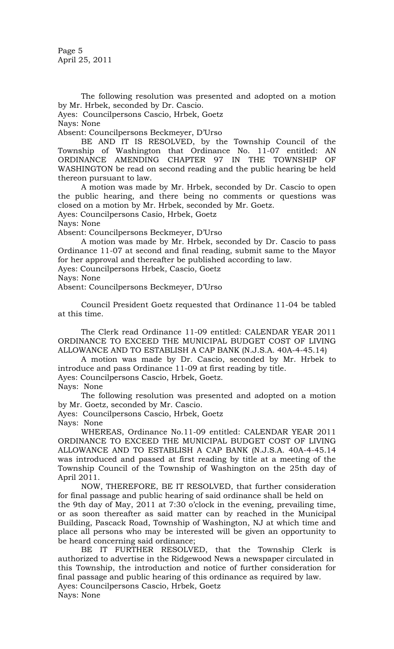Page 5 April 25, 2011

The following resolution was presented and adopted on a motion by Mr. Hrbek, seconded by Dr. Cascio.

Ayes: Councilpersons Cascio, Hrbek, Goetz

Nays: None

Absent: Councilpersons Beckmeyer, D'Urso

BE AND IT IS RESOLVED, by the Township Council of the Township of Washington that Ordinance No. 11-07 entitled: AN ORDINANCE AMENDING CHAPTER 97 IN THE TOWNSHIP OF WASHINGTON be read on second reading and the public hearing be held thereon pursuant to law.

A motion was made by Mr. Hrbek, seconded by Dr. Cascio to open the public hearing, and there being no comments or questions was closed on a motion by Mr. Hrbek, seconded by Mr. Goetz.

Ayes: Councilpersons Casio, Hrbek, Goetz

Nays: None

Absent: Councilpersons Beckmeyer, D'Urso

A motion was made by Mr. Hrbek, seconded by Dr. Cascio to pass Ordinance 11-07 at second and final reading, submit same to the Mayor for her approval and thereafter be published according to law.

Ayes: Councilpersons Hrbek, Cascio, Goetz

Nays: None

Absent: Councilpersons Beckmeyer, D'Urso

Council President Goetz requested that Ordinance 11-04 be tabled at this time.

The Clerk read Ordinance 11-09 entitled: CALENDAR YEAR 2011 ORDINANCE TO EXCEED THE MUNICIPAL BUDGET COST OF LIVING ALLOWANCE AND TO ESTABLISH A CAP BANK (N.J.S.A. 40A-4-45.14)

A motion was made by Dr. Cascio, seconded by Mr. Hrbek to introduce and pass Ordinance 11-09 at first reading by title.

Ayes: Councilpersons Cascio, Hrbek, Goetz.

Nays: None

The following resolution was presented and adopted on a motion by Mr. Goetz, seconded by Mr. Cascio.

Ayes: Councilpersons Cascio, Hrbek, Goetz

Nays: None

WHEREAS, Ordinance No.11-09 entitled: CALENDAR YEAR 2011 ORDINANCE TO EXCEED THE MUNICIPAL BUDGET COST OF LIVING ALLOWANCE AND TO ESTABLISH A CAP BANK (N.J.S.A. 40A-4-45.14 was introduced and passed at first reading by title at a meeting of the Township Council of the Township of Washington on the 25th day of April 2011.

NOW, THEREFORE, BE IT RESOLVED, that further consideration for final passage and public hearing of said ordinance shall be held on

the 9th day of May, 2011 at 7:30 o'clock in the evening, prevailing time, or as soon thereafter as said matter can by reached in the Municipal Building, Pascack Road, Township of Washington, NJ at which time and place all persons who may be interested will be given an opportunity to be heard concerning said ordinance;

BE IT FURTHER RESOLVED, that the Township Clerk is authorized to advertise in the Ridgewood News a newspaper circulated in this Township, the introduction and notice of further consideration for final passage and public hearing of this ordinance as required by law. Ayes: Councilpersons Cascio, Hrbek, Goetz Nays: None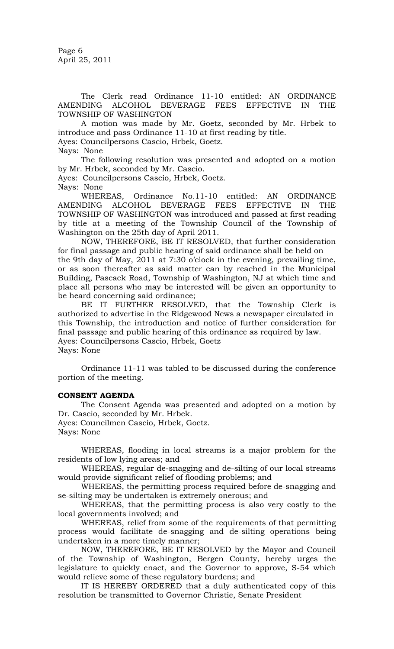Page 6 April 25, 2011

The Clerk read Ordinance 11-10 entitled: AN ORDINANCE AMENDING ALCOHOL BEVERAGE FEES EFFECTIVE IN THE TOWNSHIP OF WASHINGTON

A motion was made by Mr. Goetz, seconded by Mr. Hrbek to introduce and pass Ordinance 11-10 at first reading by title. Ayes: Councilpersons Cascio, Hrbek, Goetz.

Nays: None

The following resolution was presented and adopted on a motion by Mr. Hrbek, seconded by Mr. Cascio.

Ayes: Councilpersons Cascio, Hrbek, Goetz.

Nays: None

WHEREAS, Ordinance No.11-10 entitled: AN ORDINANCE AMENDING ALCOHOL BEVERAGE FEES EFFECTIVE IN THE TOWNSHIP OF WASHINGTON was introduced and passed at first reading by title at a meeting of the Township Council of the Township of Washington on the 25th day of April 2011.

NOW, THEREFORE, BE IT RESOLVED, that further consideration for final passage and public hearing of said ordinance shall be held on the 9th day of May, 2011 at 7:30 o'clock in the evening, prevailing time,

or as soon thereafter as said matter can by reached in the Municipal Building, Pascack Road, Township of Washington, NJ at which time and place all persons who may be interested will be given an opportunity to be heard concerning said ordinance;

BE IT FURTHER RESOLVED, that the Township Clerk is authorized to advertise in the Ridgewood News a newspaper circulated in this Township, the introduction and notice of further consideration for final passage and public hearing of this ordinance as required by law. Ayes: Councilpersons Cascio, Hrbek, Goetz Nays: None

Ordinance 11-11 was tabled to be discussed during the conference portion of the meeting.

#### **CONSENT AGENDA**

The Consent Agenda was presented and adopted on a motion by Dr. Cascio, seconded by Mr. Hrbek.

Ayes: Councilmen Cascio, Hrbek, Goetz. Nays: None

WHEREAS, flooding in local streams is a major problem for the residents of low lying areas; and

WHEREAS, regular de-snagging and de-silting of our local streams would provide significant relief of flooding problems; and

WHEREAS, the permitting process required before de-snagging and se-silting may be undertaken is extremely onerous; and

WHEREAS, that the permitting process is also very costly to the local governments involved; and

WHEREAS, relief from some of the requirements of that permitting process would facilitate de-snagging and de-silting operations being undertaken in a more timely manner;

NOW, THEREFORE, BE IT RESOLVED by the Mayor and Council of the Township of Washington, Bergen County, hereby urges the legislature to quickly enact, and the Governor to approve, S-54 which would relieve some of these regulatory burdens; and

IT IS HEREBY ORDERED that a duly authenticated copy of this resolution be transmitted to Governor Christie, Senate President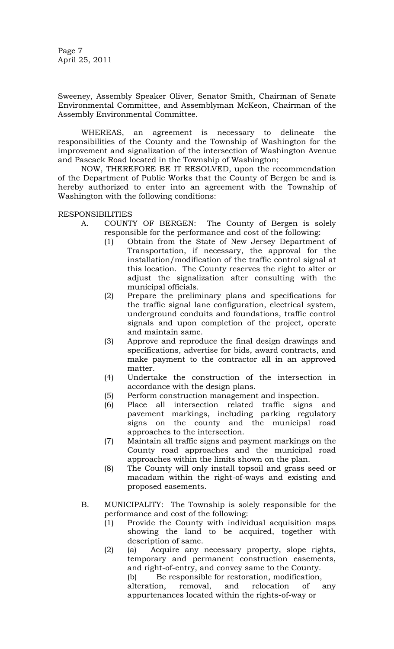Page 7 April 25, 2011

Sweeney, Assembly Speaker Oliver, Senator Smith, Chairman of Senate Environmental Committee, and Assemblyman McKeon, Chairman of the Assembly Environmental Committee.

WHEREAS, an agreement is necessary to delineate the responsibilities of the County and the Township of Washington for the improvement and signalization of the intersection of Washington Avenue and Pascack Road located in the Township of Washington;

NOW, THEREFORE BE IT RESOLVED, upon the recommendation of the Department of Public Works that the County of Bergen be and is hereby authorized to enter into an agreement with the Township of Washington with the following conditions:

RESPONSIBILITIES

- A. COUNTY OF BERGEN: The County of Bergen is solely responsible for the performance and cost of the following:
	- (1) Obtain from the State of New Jersey Department of Transportation, if necessary, the approval for the installation/modification of the traffic control signal at this location. The County reserves the right to alter or adjust the signalization after consulting with the municipal officials.
	- (2) Prepare the preliminary plans and specifications for the traffic signal lane configuration, electrical system, underground conduits and foundations, traffic control signals and upon completion of the project, operate and maintain same.
	- (3) Approve and reproduce the final design drawings and specifications, advertise for bids, award contracts, and make payment to the contractor all in an approved matter.
	- (4) Undertake the construction of the intersection in accordance with the design plans.
	- (5) Perform construction management and inspection.
	- (6) Place all intersection related traffic signs and pavement markings, including parking regulatory signs on the county and the municipal road approaches to the intersection.
	- (7) Maintain all traffic signs and payment markings on the County road approaches and the municipal road approaches within the limits shown on the plan.
	- (8) The County will only install topsoil and grass seed or macadam within the right-of-ways and existing and proposed easements.
- B. MUNICIPALITY: The Township is solely responsible for the performance and cost of the following:
	- (1) Provide the County with individual acquisition maps showing the land to be acquired, together with description of same.
	- (2) (a) Acquire any necessary property, slope rights, temporary and permanent construction easements, and right-of-entry, and convey same to the County. (b) Be responsible for restoration, modification, alteration, removal, and relocation of any appurtenances located within the rights-of-way or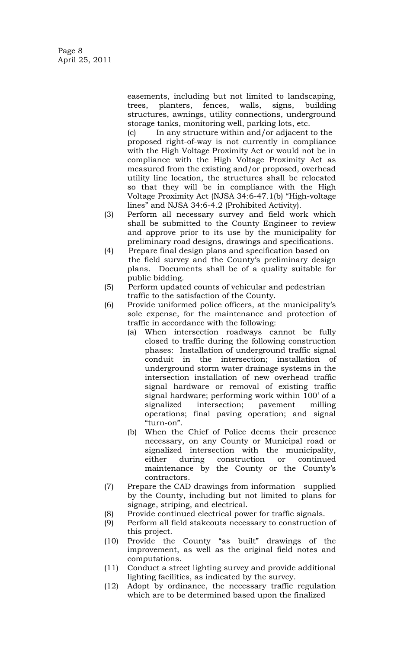Page 8 April 25, 2011

> easements, including but not limited to landscaping, trees, planters, fences, walls, signs, building structures, awnings, utility connections, underground storage tanks, monitoring well, parking lots, etc.

> (c) In any structure within and/or adjacent to the proposed right-of-way is not currently in compliance with the High Voltage Proximity Act or would not be in compliance with the High Voltage Proximity Act as measured from the existing and/or proposed, overhead utility line location, the structures shall be relocated so that they will be in compliance with the High Voltage Proximity Act (NJSA 34:6-47.1(b) "High-voltage lines" and NJSA 34:6-4.2 (Prohibited Activity).

- (3) Perform all necessary survey and field work which shall be submitted to the County Engineer to review and approve prior to its use by the municipality for preliminary road designs, drawings and specifications.
- (4) Prepare final design plans and specification based on the field survey and the County's preliminary design plans. Documents shall be of a quality suitable for public bidding.
- (5) Perform updated counts of vehicular and pedestrian traffic to the satisfaction of the County.
- (6) Provide uniformed police officers, at the municipality's sole expense, for the maintenance and protection of traffic in accordance with the following:
	- (a) When intersection roadways cannot be fully closed to traffic during the following construction phases: Installation of underground traffic signal conduit in the intersection; installation of underground storm water drainage systems in the intersection installation of new overhead traffic signal hardware or removal of existing traffic signal hardware; performing work within 100' of a signalized intersection; pavement milling operations; final paving operation; and signal "turn-on".
	- (b) When the Chief of Police deems their presence necessary, on any County or Municipal road or signalized intersection with the municipality, either during construction or continued maintenance by the County or the County's contractors.
- (7) Prepare the CAD drawings from information supplied by the County, including but not limited to plans for signage, striping, and electrical.
- (8) Provide continued electrical power for traffic signals.
- (9) Perform all field stakeouts necessary to construction of this project.
- (10) Provide the County "as built" drawings of the improvement, as well as the original field notes and computations.
- (11) Conduct a street lighting survey and provide additional lighting facilities, as indicated by the survey.
- (12) Adopt by ordinance, the necessary traffic regulation which are to be determined based upon the finalized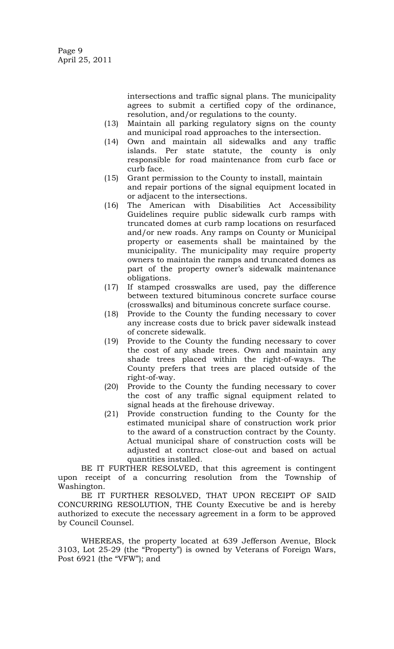intersections and traffic signal plans. The municipality agrees to submit a certified copy of the ordinance, resolution, and/or regulations to the county.

- (13) Maintain all parking regulatory signs on the county and municipal road approaches to the intersection.
- (14) Own and maintain all sidewalks and any traffic islands. Per state statute, the county is only responsible for road maintenance from curb face or curb face.
- (15) Grant permission to the County to install, maintain and repair portions of the signal equipment located in or adjacent to the intersections.
- (16) The American with Disabilities Act Accessibility Guidelines require public sidewalk curb ramps with truncated domes at curb ramp locations on resurfaced and/or new roads. Any ramps on County or Municipal property or easements shall be maintained by the municipality. The municipality may require property owners to maintain the ramps and truncated domes as part of the property owner's sidewalk maintenance obligations.
- (17) If stamped crosswalks are used, pay the difference between textured bituminous concrete surface course (crosswalks) and bituminous concrete surface course.
- (18) Provide to the County the funding necessary to cover any increase costs due to brick paver sidewalk instead of concrete sidewalk.
- (19) Provide to the County the funding necessary to cover the cost of any shade trees. Own and maintain any shade trees placed within the right-of-ways. The County prefers that trees are placed outside of the right-of-way.
- (20) Provide to the County the funding necessary to cover the cost of any traffic signal equipment related to signal heads at the firehouse driveway.
- (21) Provide construction funding to the County for the estimated municipal share of construction work prior to the award of a construction contract by the County. Actual municipal share of construction costs will be adjusted at contract close-out and based on actual quantities installed.

BE IT FURTHER RESOLVED, that this agreement is contingent upon receipt of a concurring resolution from the Township of Washington.

BE IT FURTHER RESOLVED, THAT UPON RECEIPT OF SAID CONCURRING RESOLUTION, THE County Executive be and is hereby authorized to execute the necessary agreement in a form to be approved by Council Counsel.

WHEREAS, the property located at 639 Jefferson Avenue, Block 3103, Lot 25-29 (the "Property") is owned by Veterans of Foreign Wars, Post 6921 (the "VFW"); and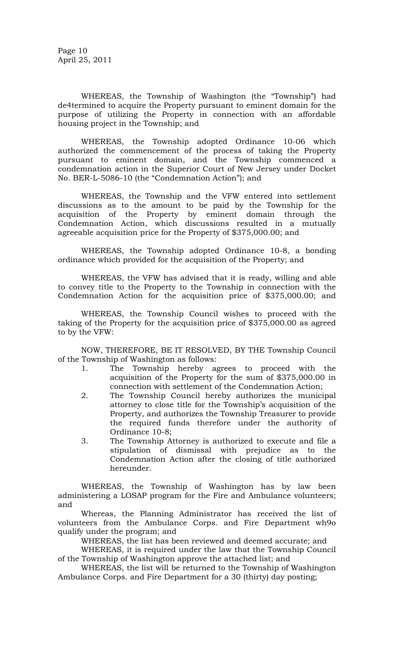Page 10 April 25, 2011

WHEREAS, the Township of Washington (the "Township") had de4termined to acquire the Property pursuant to eminent domain for the purpose of utilizing the Property in connection with an affordable housing project in the Township; and

WHEREAS, the Township adopted Ordinance 10-06 which authorized the commencement of the process of taking the Property pursuant to eminent domain, and the Township commenced a condemnation action in the Superior Court of New Jersey under Docket No. BER-L-5086-10 (the "Condemnation Action"); and

WHEREAS, the Township and the VFW entered into settlement discussions as to the amount to be paid by the Township for the acquisition of the Property by eminent domain through the Condemnation Action, which discussions resulted in a mutually agreeable acquisition price for the Property of \$375,000.00; and

WHEREAS, the Township adopted Ordinance 10-8, a bonding ordinance which provided for the acquisition of the Property; and

WHEREAS, the VFW has advised that it is ready, willing and able to convey title to the Property to the Township in connection with the Condemnation Action for the acquisition price of \$375,000.00; and

WHEREAS, the Township Council wishes to proceed with the taking of the Property for the acquisition price of \$375,000.00 as agreed to by the VFW:

NOW, THEREFORE, BE IT RESOLVED, BY THE Township Council of the Township of Washington as follows:

- 1. The Township hereby agrees to proceed with the acquisition of the Property for the sum of \$375,000.00 in connection with settlement of the Condemnation Action;
- 2. The Township Council hereby authorizes the municipal attorney to close title for the Township's acquisition of the Property, and authorizes the Township Treasurer to provide the required funds therefore under the authority of Ordinance 10-8;
- 3. The Township Attorney is authorized to execute and file a stipulation of dismissal with prejudice as to the Condemnation Action after the closing of title authorized hereunder.

WHEREAS, the Township of Washington has by law been administering a LOSAP program for the Fire and Ambulance volunteers; and

Whereas, the Planning Administrator has received the list of volunteers from the Ambulance Corps. and Fire Department wh9o qualify under the program; and

WHEREAS, the list has been reviewed and deemed accurate; and

WHEREAS, it is required under the law that the Township Council of the Township of Washington approve the attached list; and

WHEREAS, the list will be returned to the Township of Washington Ambulance Corps. and Fire Department for a 30 (thirty) day posting;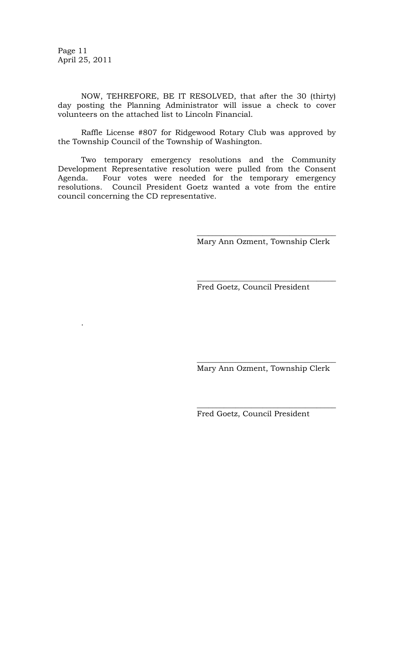Page 11 April 25, 2011

.

NOW, TEHREFORE, BE IT RESOLVED, that after the 30 (thirty) day posting the Planning Administrator will issue a check to cover volunteers on the attached list to Lincoln Financial.

Raffle License #807 for Ridgewood Rotary Club was approved by the Township Council of the Township of Washington.

Two temporary emergency resolutions and the Community Development Representative resolution were pulled from the Consent Agenda. Four votes were needed for the temporary emergency resolutions. Council President Goetz wanted a vote from the entire council concerning the CD representative.

> \_\_\_\_\_\_\_\_\_\_\_\_\_\_\_\_\_\_\_\_\_\_\_\_\_\_\_\_\_\_\_\_\_\_\_\_ Mary Ann Ozment, Township Clerk

> $\overline{\phantom{a}}$  , where the contract of the contract of the contract of the contract of the contract of the contract of the contract of the contract of the contract of the contract of the contract of the contract of the contr

Fred Goetz, Council President

 $\overline{\phantom{a}}$  , where the contract of the contract of the contract of the contract of the contract of the contract of the contract of the contract of the contract of the contract of the contract of the contract of the contr Mary Ann Ozment, Township Clerk

 $\overline{\phantom{a}}$  , where the contract of the contract of the contract of the contract of the contract of the contract of the contract of the contract of the contract of the contract of the contract of the contract of the contr

Fred Goetz, Council President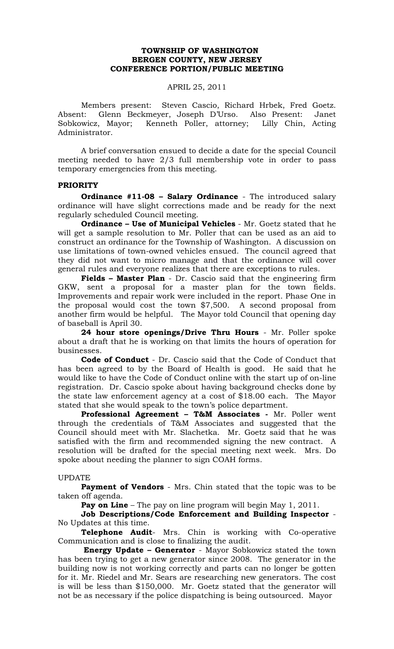# **TOWNSHIP OF WASHINGTON BERGEN COUNTY, NEW JERSEY CONFERENCE PORTION/PUBLIC MEETING**

#### APRIL 25, 2011

Members present: Steven Cascio, Richard Hrbek, Fred Goetz. Absent: Glenn Beckmeyer, Joseph D'Urso. Also Present: Janet Sobkowicz, Mayor; Kenneth Poller, attorney; Lilly Chin, Acting Administrator.

A brief conversation ensued to decide a date for the special Council meeting needed to have 2/3 full membership vote in order to pass temporary emergencies from this meeting.

### **PRIORITY**

**Ordinance #11-08 – Salary Ordinance** - The introduced salary ordinance will have slight corrections made and be ready for the next regularly scheduled Council meeting.

**Ordinance – Use of Municipal Vehicles** - Mr. Goetz stated that he will get a sample resolution to Mr. Poller that can be used as an aid to construct an ordinance for the Township of Washington. A discussion on use limitations of town-owned vehicles ensued. The council agreed that they did not want to micro manage and that the ordinance will cover general rules and everyone realizes that there are exceptions to rules.

**Fields – Master Plan** - Dr. Cascio said that the engineering firm GKW, sent a proposal for a master plan for the town fields. Improvements and repair work were included in the report. Phase One in the proposal would cost the town \$7,500. A second proposal from another firm would be helpful. The Mayor told Council that opening day of baseball is April 30.

**24 hour store openings/Drive Thru Hours** - Mr. Poller spoke about a draft that he is working on that limits the hours of operation for businesses.

**Code of Conduct** - Dr. Cascio said that the Code of Conduct that has been agreed to by the Board of Health is good. He said that he would like to have the Code of Conduct online with the start up of on-line registration. Dr. Cascio spoke about having background checks done by the state law enforcement agency at a cost of \$18.00 each. The Mayor stated that she would speak to the town's police department.

**Professional Agreement – T&M Associates -** Mr. Poller went through the credentials of T&M Associates and suggested that the Council should meet with Mr. Slachetka. Mr. Goetz said that he was satisfied with the firm and recommended signing the new contract. A resolution will be drafted for the special meeting next week. Mrs. Do spoke about needing the planner to sign COAH forms.

#### UPDATE

**Payment of Vendors** - Mrs. Chin stated that the topic was to be taken off agenda.

**Pay on Line** – The pay on line program will begin May 1, 2011.

**Job Descriptions/Code Enforcement and Building Inspector** - No Updates at this time.

**Telephone Audit**- Mrs. Chin is working with Co-operative Communication and is close to finalizing the audit.

 **Energy Update – Generator** - Mayor Sobkowicz stated the town has been trying to get a new generator since 2008. The generator in the building now is not working correctly and parts can no longer be gotten for it. Mr. Riedel and Mr. Sears are researching new generators. The cost is will be less than \$150,000. Mr. Goetz stated that the generator will not be as necessary if the police dispatching is being outsourced. Mayor